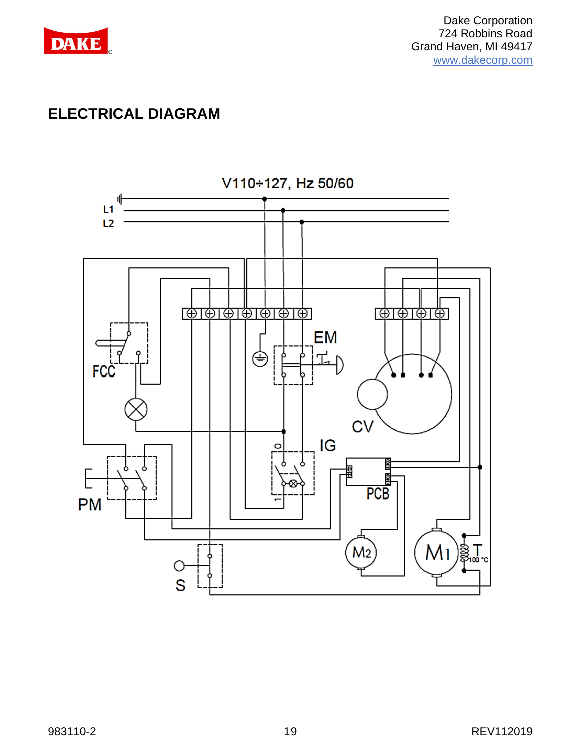

### **ELECTRICAL DIAGRAM**

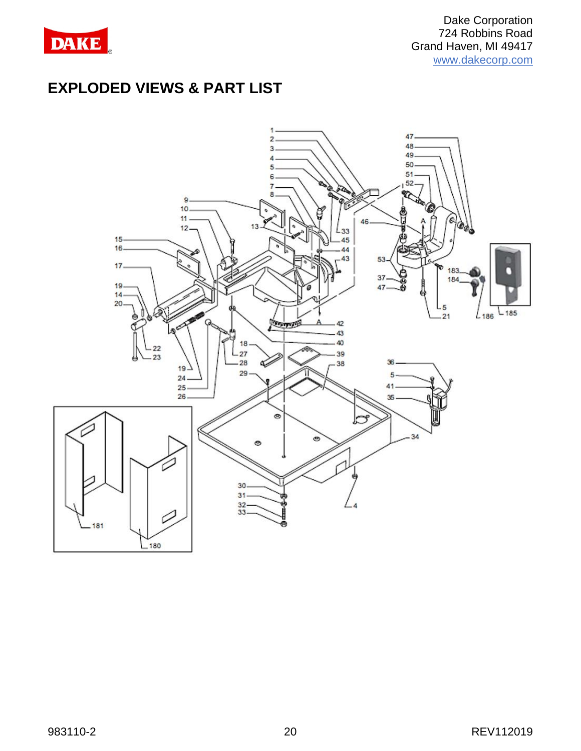

## **EXPLODED VIEWS & PART LIST**

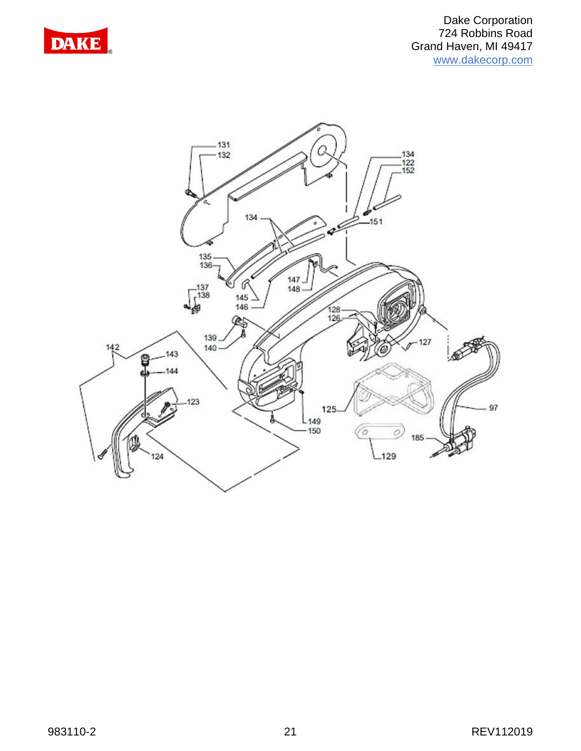

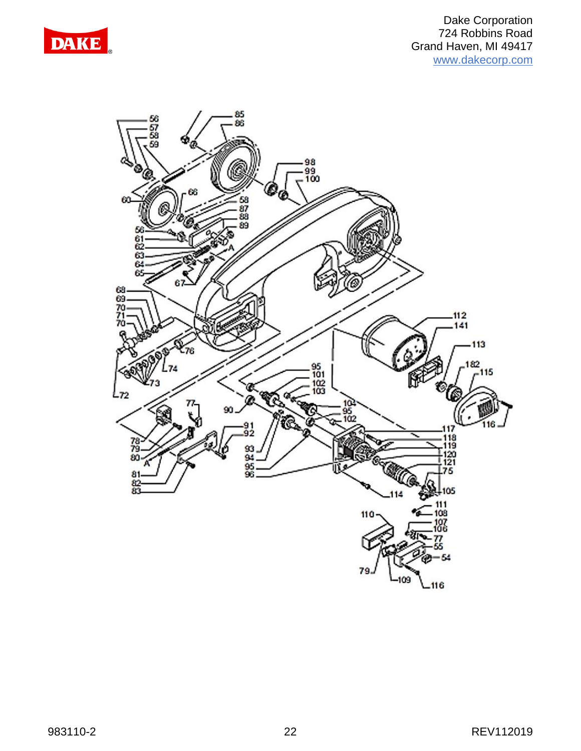

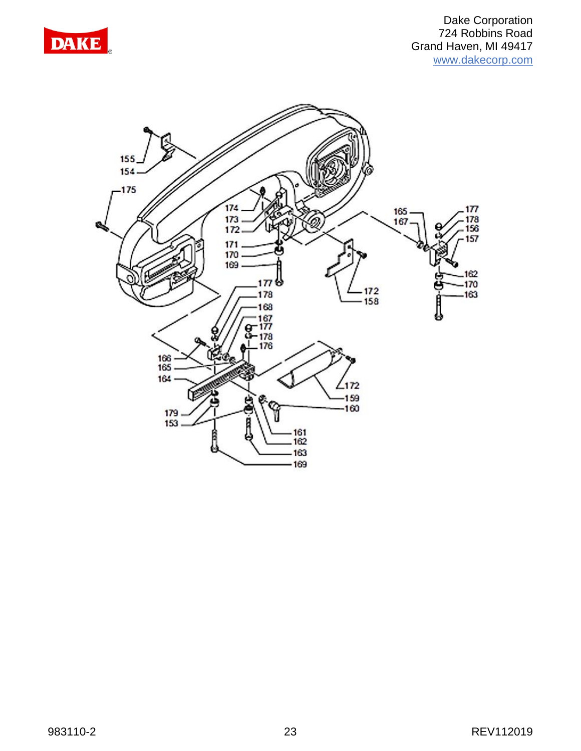

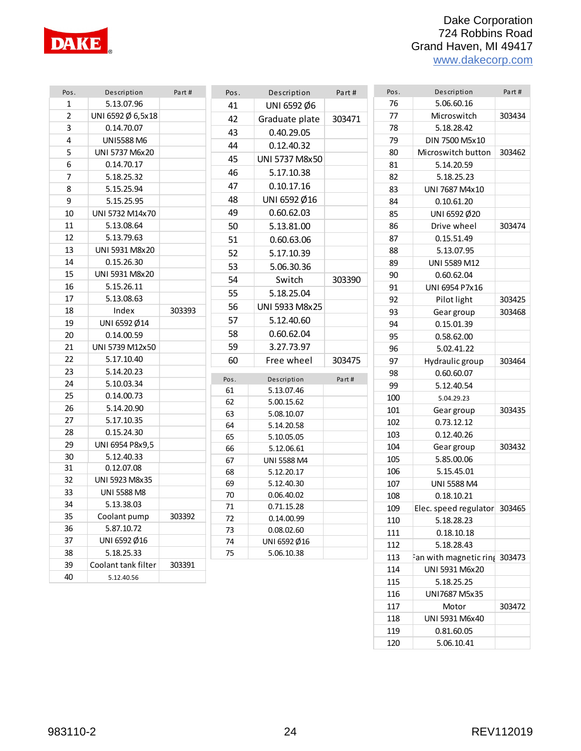

#### Dake Corporation 724 Robbins Road Grand Haven, MI 49417 [www.dakecorp.com](http://www.dakecorp.com/)

| Pos. | Description         | Part#  | Pos.       | Description              | Part#  | Pos. | Description                  | Part#  |
|------|---------------------|--------|------------|--------------------------|--------|------|------------------------------|--------|
| 1    | 5.13.07.96          |        | 41         | UNI 6592 Ø6              |        | 76   | 5.06.60.16                   |        |
| 2    | UNI 6592 Ø 6,5x18   |        | 42         | Graduate plate           | 303471 | 77   | Microswitch                  | 303434 |
| 3    | 0.14.70.07          |        | 43         | 0.40.29.05               |        | 78   | 5.18.28.42                   |        |
| 4    | <b>UNI5588 M6</b>   |        |            |                          |        | 79   | DIN 7500 M5x10               |        |
| 5    | UNI 5737 M6x20      |        | 44         | 0.12.40.32               |        | 80   | Microswitch button           | 303462 |
| 6    | 0.14.70.17          |        | 45         | UNI 5737 M8x50           |        | 81   | 5.14.20.59                   |        |
| 7    | 5.18.25.32          |        | 46         | 5.17.10.38               |        | 82   | 5.18.25.23                   |        |
| 8    | 5.15.25.94          |        | 47         | 0.10.17.16               |        | 83   | UNI 7687 M4x10               |        |
| 9    | 5.15.25.95          |        | 48         | UNI 6592 Ø16             |        | 84   | 0.10.61.20                   |        |
| 10   | UNI 5732 M14x70     |        | 49         | 0.60.62.03               |        | 85   | UNI 6592 Ø20                 |        |
| 11   | 5.13.08.64          |        | 50         | 5.13.81.00               |        | 86   | Drive wheel                  | 303474 |
| 12   | 5.13.79.63          |        | 51         | 0.60.63.06               |        | 87   | 0.15.51.49                   |        |
| 13   | UNI 5931 M8x20      |        | 52         | 5.17.10.39               |        | 88   | 5.13.07.95                   |        |
| 14   | 0.15.26.30          |        | 53         | 5.06.30.36               |        | 89   | UNI 5589 M12                 |        |
| 15   | UNI 5931 M8x20      |        |            |                          |        | 90   | 0.60.62.04                   |        |
| 16   | 5.15.26.11          |        | 54         | Switch                   | 303390 | 91   | UNI 6954 P7x16               |        |
| 17   | 5.13.08.63          |        | 55         | 5.18.25.04               |        | 92   | Pilot light                  | 303425 |
| 18   | Index               | 303393 | 56         | UNI 5933 M8x25           |        | 93   | Gear group                   | 303468 |
| 19   | UNI 6592 Ø14        |        | 57         | 5.12.40.60               |        | 94   | 0.15.01.39                   |        |
| 20   | 0.14.00.59          |        | 58         | 0.60.62.04               |        | 95   | 0.58.62.00                   |        |
| 21   | UNI 5739 M12x50     |        | 59         | 3.27.73.97               |        | 96   | 5.02.41.22                   |        |
| 22   | 5.17.10.40          |        | 60         | Free wheel               | 303475 | 97   | Hydraulic group              | 303464 |
| 23   | 5.14.20.23          |        |            |                          |        | 98   | 0.60.60.07                   |        |
| 24   | 5.10.03.34          |        | Pos.<br>61 | Description              | Part#  | 99   | 5.12.40.54                   |        |
| 25   | 0.14.00.73          |        | 62         | 5.13.07.46<br>5.00.15.62 |        | 100  | 5.04.29.23                   |        |
| 26   | 5.14.20.90          |        | 63         | 5.08.10.07               |        | 101  | Gear group                   | 303435 |
| 27   | 5.17.10.35          |        | 64         | 5.14.20.58               |        | 102  | 0.73.12.12                   |        |
| 28   | 0.15.24.30          |        | 65         | 5.10.05.05               |        | 103  | 0.12.40.26                   |        |
| 29   | UNI 6954 P8x9,5     |        | 66         | 5.12.06.61               |        | 104  | Gear group                   | 303432 |
| 30   | 5.12.40.33          |        | 67         | <b>UNI 5588 M4</b>       |        | 105  | 5.85.00.06                   |        |
| 31   | 0.12.07.08          |        | 68         | 5.12.20.17               |        | 106  | 5.15.45.01                   |        |
| 32   | UNI 5923 M8x35      |        | 69         | 5.12.40.30               |        | 107  | UNI 5588 M4                  |        |
| 33   | <b>UNI 5588 M8</b>  |        | 70         | 0.06.40.02               |        | 108  | 0.18.10.21                   |        |
| 34   | 5.13.38.03          |        | 71         | 0.71.15.28               |        | 109  | Elec. speed regulator 303465 |        |
| 35   | Coolant pump        | 303392 | 72         | 0.14.00.99               |        | 110  | 5.18.28.23                   |        |
| 36   | 5.87.10.72          |        | 73         | 0.08.02.60               |        | 111  | 0.18.10.18                   |        |
| 37   | UNI 6592 Ø16        |        | 74         | UNI 6592 Ø16             |        | 112  | 5.18.28.43                   |        |
| 38   | 5.18.25.33          |        | 75         | 5.06.10.38               |        | 113  | an with magnetic rin 303473  |        |
| 39   | Coolant tank filter | 303391 |            |                          |        | 114  | UNI 5931 M6x20               |        |
| 40   | 5.12.40.56          |        |            |                          |        | 115  | 5.18.25.25                   |        |
|      |                     |        |            |                          |        | 116  | UNI7687 M5x35                |        |
|      |                     |        |            |                          |        | 117  | Motor                        | 303472 |

 UNI 5931 M6x40 0.81.60.05 120 5.06.10.41